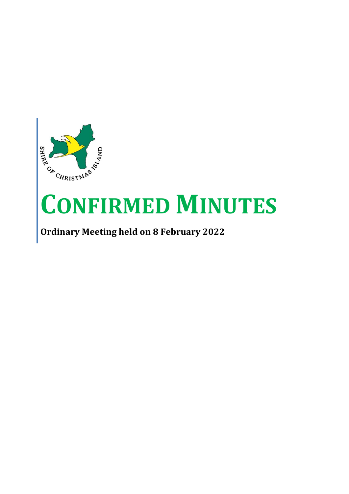

# **CONFIRMED MINUTES**

## **Ordinary Meeting held on 8 February 2022**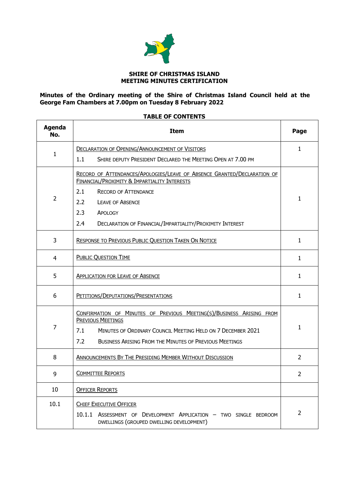

#### **SHIRE OF CHRISTMAS ISLAND MEETING MINUTES CERTIFICATION**

#### **Minutes of the Ordinary meeting of the Shire of Christmas Island Council held at the George Fam Chambers at 7.00pm on Tuesday 8 February 2022**

### **TABLE OF CONTENTS**

| <b>Agenda</b><br>No. | Item                                                                                                                                                                                                                                           | Page           |  |  |
|----------------------|------------------------------------------------------------------------------------------------------------------------------------------------------------------------------------------------------------------------------------------------|----------------|--|--|
| $\mathbf{1}$         | <b>DECLARATION OF OPENING/ANNOUNCEMENT OF VISITORS</b>                                                                                                                                                                                         | $\mathbf{1}$   |  |  |
|                      | 1.1<br>SHIRE DEPUTY PRESIDENT DECLARED THE MEETING OPEN AT 7.00 PM                                                                                                                                                                             |                |  |  |
|                      | RECORD OF ATTENDANCES/APOLOGIES/LEAVE OF ABSENCE GRANTED/DECLARATION OF<br>FINANCIAL/PROXIMITY & IMPARTIALITY INTERESTS                                                                                                                        |                |  |  |
|                      | 2.1<br><b>RECORD OF ATTENDANCE</b>                                                                                                                                                                                                             |                |  |  |
| $\overline{2}$       | $2.2^{\circ}$<br><b>LEAVE OF ABSENCE</b>                                                                                                                                                                                                       | 1              |  |  |
|                      | 2.3<br>APOLOGY                                                                                                                                                                                                                                 |                |  |  |
|                      | 2.4<br>DECLARATION OF FINANCIAL/IMPARTIALITY/PROXIMITY INTEREST                                                                                                                                                                                |                |  |  |
| 3                    | RESPONSE TO PREVIOUS PUBLIC QUESTION TAKEN ON NOTICE                                                                                                                                                                                           | $\mathbf{1}$   |  |  |
| 4                    | <b>PUBLIC QUESTION TIME</b>                                                                                                                                                                                                                    | $\mathbf{1}$   |  |  |
| 5                    | <b>APPLICATION FOR LEAVE OF ABSENCE</b>                                                                                                                                                                                                        |                |  |  |
| 6                    | PETITIONS/DEPUTATIONS/PRESENTATIONS                                                                                                                                                                                                            |                |  |  |
| 7                    | CONFIRMATION OF MINUTES OF PREVIOUS MEETING(S)/BUSINESS ARISING FROM<br><b>PREVIOUS MEETINGS</b><br>7.1<br>MINUTES OF ORDINARY COUNCIL MEETING HELD ON 7 DECEMBER 2021<br>7.2<br><b>BUSINESS ARISING FROM THE MINUTES OF PREVIOUS MEETINGS</b> |                |  |  |
| 8                    | ANNOUNCEMENTS BY THE PRESIDING MEMBER WITHOUT DISCUSSION                                                                                                                                                                                       | $\overline{2}$ |  |  |
| 9                    | <b>COMMITTEE REPORTS</b>                                                                                                                                                                                                                       |                |  |  |
| 10                   | <b>OFFICER REPORTS</b>                                                                                                                                                                                                                         |                |  |  |
| 10.1                 | <b>CHIEF EXECUTIVE OFFICER</b><br>10.1.1 ASSESSMENT OF DEVELOPMENT APPLICATION - TWO SINGLE BEDROOM<br>DWELLINGS (GROUPED DWELLING DEVELOPMENT)                                                                                                | $\overline{2}$ |  |  |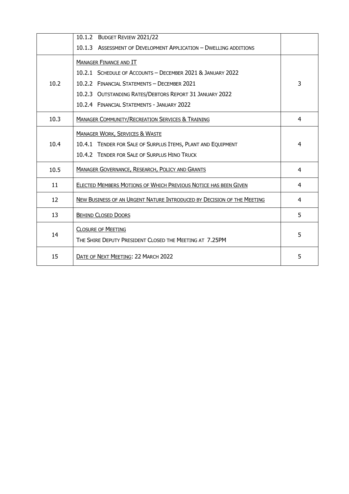|      | 10.1.2 BUDGET REVIEW 2021/22                                           |   |
|------|------------------------------------------------------------------------|---|
|      | 10.1.3 ASSESSMENT OF DEVELOPMENT APPLICATION - DWELLING ADDITIONS      |   |
|      | <b>MANAGER FINANCE AND IT</b>                                          |   |
|      | 10.2.1 SCHEDULE OF ACCOUNTS - DECEMBER 2021 & JANUARY 2022             |   |
| 10.2 | 10.2.2 FINANCIAL STATEMENTS - DECEMBER 2021                            | 3 |
|      | 10.2.3 OUTSTANDING RATES/DEBTORS REPORT 31 JANUARY 2022                |   |
|      | 10.2.4 FINANCIAL STATEMENTS - JANUARY 2022                             |   |
| 10.3 | <b>MANAGER COMMUNITY/RECREATION SERVICES &amp; TRAINING</b>            | 4 |
|      | <b>MANAGER WORK, SERVICES &amp; WASTE</b>                              |   |
| 10.4 | 10.4.1 TENDER FOR SALE OF SURPLUS ITEMS, PLANT AND EQUIPMENT           | 4 |
|      | 10.4.2 TENDER FOR SALE OF SURPLUS HINO TRUCK                           |   |
| 10.5 | <b>MANAGER GOVERNANCE, RESEARCH, POLICY AND GRANTS</b>                 | 4 |
| 11   | <b>ELECTED MEMBERS MOTIONS OF WHICH PREVIOUS NOTICE HAS BEEN GIVEN</b> | 4 |
| 12   | NEW BUSINESS OF AN URGENT NATURE INTRODUCED BY DECISION OF THE MEETING | 4 |
| 13   | <b>BEHIND CLOSED DOORS</b>                                             | 5 |
| 14   | <b>CLOSURE OF MEETING</b>                                              | 5 |
|      | THE SHIRE DEPUTY PRESIDENT CLOSED THE MEETING AT 7.25PM                |   |
| 15   | DATE OF NEXT MEETING: 22 MARCH 2022                                    | 5 |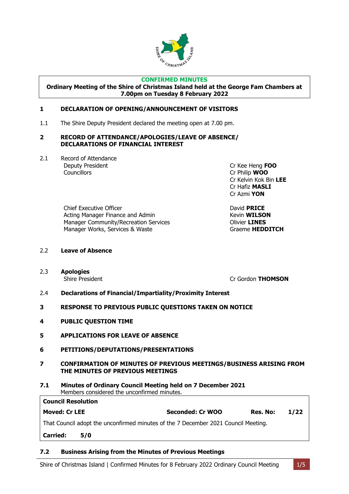

#### **CONFIRMED MINUTES**

**Ordinary Meeting of the Shire of Christmas Island held at the George Fam Chambers at 7.00pm on Tuesday 8 February 2022**

#### <span id="page-3-0"></span>**1 DECLARATION OF OPENING/ANNOUNCEMENT OF VISITORS**

1.1 The Shire Deputy President declared the meeting open at 7.00 pm.

#### <span id="page-3-1"></span>**2 RECORD OF ATTENDANCE/APOLOGIES/LEAVE OF ABSENCE/ DECLARATIONS OF FINANCIAL INTEREST**

2.1 Record of Attendance **Deputy President Cr Kee Heng FOO**<br> **Cr Kee Heng FOO**<br>
Cr Philip **WOO** 

Cr Philip **WOO** Cr Kelvin Kok Bin **LEE** Cr Hafiz **MASLI** Cr Azmi **YON**

Chief Executive Officer **David PRICE** Acting Manager Finance and Admin **Kevin WILSON** Manager Community/Recreation Services Olivier **LINES** Manager Works, Services & Waste **Graeme HEDDITCH** 

- 2.2 **Leave of Absence**
- 2.3 **Apologies**

Shire President **Criminal Criminal Criminal Criminal Criminal Criminal Criminal Criminal Criminal Criminal Criminal Operation** 

- 2.4 **Declarations of Financial/Impartiality/Proximity Interest**
- <span id="page-3-2"></span>**3 RESPONSE TO PREVIOUS PUBLIC QUESTIONS TAKEN ON NOTICE**
- <span id="page-3-3"></span>**4 PUBLIC QUESTION TIME**
- <span id="page-3-4"></span>**5 APPLICATIONS FOR LEAVE OF ABSENCE**
- <span id="page-3-5"></span>**6 PETITIONS/DEPUTATIONS/PRESENTATIONS**
- <span id="page-3-6"></span>**7 CONFIRMATION OF MINUTES OF PREVIOUS MEETINGS/BUSINESS ARISING FROM THE MINUTES OF PREVIOUS MEETINGS**
- **7.1 Minutes of Ordinary Council Meeting held on 7 December 2021** Members considered the unconfirmed minutes.

| <b>Council Resolution</b>                                                          |                  |          |      |
|------------------------------------------------------------------------------------|------------------|----------|------|
| <b>Moved: Cr LEE</b>                                                               | Seconded: Cr WOO | Res. No: | 1/22 |
| That Council adopt the unconfirmed minutes of the 7 December 2021 Council Meeting. |                  |          |      |
| <b>Carried:</b><br>5/0                                                             |                  |          |      |

#### **7.2 Business Arising from the Minutes of Previous Meetings**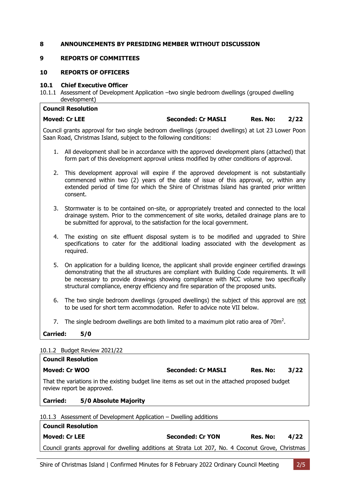#### <span id="page-4-0"></span>**8 ANNOUNCEMENTS BY PRESIDING MEMBER WITHOUT DISCUSSION**

#### <span id="page-4-1"></span>**9 REPORTS OF COMMITTEES**

#### **10 REPORTS OF OFFICERS**

#### <span id="page-4-2"></span>**10.1 Chief Executive Officer**

10.1.1 Assessment of Development Application –two single bedroom dwellings (grouped dwelling development)

|                        | <b>Council Resolution</b>                                         |                                                                                                                                                                                                                                                                                                                                                                               |          |      |
|------------------------|-------------------------------------------------------------------|-------------------------------------------------------------------------------------------------------------------------------------------------------------------------------------------------------------------------------------------------------------------------------------------------------------------------------------------------------------------------------|----------|------|
|                        | <b>Moved: Cr LEE</b>                                              | <b>Seconded: Cr MASLI</b>                                                                                                                                                                                                                                                                                                                                                     | Res. No: | 2/22 |
|                        | Saan Road, Christmas Island, subject to the following conditions: | Council grants approval for two single bedroom dwellings (grouped dwellings) at Lot 23 Lower Poon                                                                                                                                                                                                                                                                             |          |      |
|                        |                                                                   | 1. All development shall be in accordance with the approved development plans (attached) that<br>form part of this development approval unless modified by other conditions of approval.                                                                                                                                                                                      |          |      |
| 2.                     | consent.                                                          | This development approval will expire if the approved development is not substantially<br>commenced within two (2) years of the date of issue of this approval, or, within any<br>extended period of time for which the Shire of Christmas Island has granted prior written                                                                                                   |          |      |
|                        |                                                                   | 3. Stormwater is to be contained on-site, or appropriately treated and connected to the local<br>drainage system. Prior to the commencement of site works, detailed drainage plans are to<br>be submitted for approval, to the satisfaction for the local government.                                                                                                         |          |      |
| 4.                     | required.                                                         | The existing on site effluent disposal system is to be modified and upgraded to Shire<br>specifications to cater for the additional loading associated with the development as                                                                                                                                                                                                |          |      |
| 5.                     |                                                                   | On application for a building licence, the applicant shall provide engineer certified drawings<br>demonstrating that the all structures are compliant with Building Code requirements. It will<br>be necessary to provide drawings showing compliance with NCC volume two specifically<br>structural compliance, energy efficiency and fire separation of the proposed units. |          |      |
| 6.                     |                                                                   | The two single bedroom dwellings (grouped dwellings) the subject of this approval are not<br>to be used for short term accommodation. Refer to advice note VII below.                                                                                                                                                                                                         |          |      |
| 7.                     |                                                                   | The single bedroom dwellings are both limited to a maximum plot ratio area of $70m^2$ .                                                                                                                                                                                                                                                                                       |          |      |
| <b>Carried:</b><br>5/0 |                                                                   |                                                                                                                                                                                                                                                                                                                                                                               |          |      |
|                        |                                                                   |                                                                                                                                                                                                                                                                                                                                                                               |          |      |
|                        | 10.1.2 Budget Review 2021/22<br>Council Docolution                |                                                                                                                                                                                                                                                                                                                                                                               |          |      |

| <b>COUNCIL RESOLUTION</b>                                                                                                      |                           |          |      |  |  |  |
|--------------------------------------------------------------------------------------------------------------------------------|---------------------------|----------|------|--|--|--|
| Moved: Cr WOO                                                                                                                  | <b>Seconded: Cr MASLI</b> | Res. No: | 3/22 |  |  |  |
| That the variations in the existing budget line items as set out in the attached proposed budget<br>review report be approved. |                           |          |      |  |  |  |
| 5/0 Absolute Majority<br><b>Carried:</b>                                                                                       |                           |          |      |  |  |  |
| 10.1.3 Assessment of Development Application - Dwelling additions                                                              |                           |          |      |  |  |  |
| <b>Council Resolution</b>                                                                                                      |                           |          |      |  |  |  |

| Council Resolution                                                                               |                         |                  |
|--------------------------------------------------------------------------------------------------|-------------------------|------------------|
| <b>Moved: Cr LEE</b>                                                                             | <b>Seconded: Cr YON</b> | Res. No:<br>4/22 |
| Council grants approval for dwelling additions at Strata Lot 207, No. 4 Coconut Grove, Christmas |                         |                  |
|                                                                                                  |                         |                  |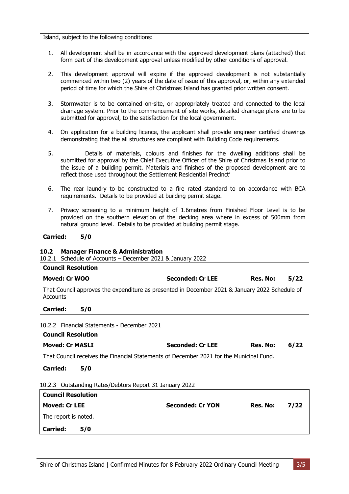Island, subject to the following conditions:

- 1. All development shall be in accordance with the approved development plans (attached) that form part of this development approval unless modified by other conditions of approval.
- 2. This development approval will expire if the approved development is not substantially commenced within two (2) years of the date of issue of this approval, or, within any extended period of time for which the Shire of Christmas Island has granted prior written consent.
- 3. Stormwater is to be contained on-site, or appropriately treated and connected to the local drainage system. Prior to the commencement of site works, detailed drainage plans are to be submitted for approval, to the satisfaction for the local government.
- 4. On application for a building licence, the applicant shall provide engineer certified drawings demonstrating that the all structures are compliant with Building Code requirements.
- 5. Details of materials, colours and finishes for the dwelling additions shall be submitted for approval by the Chief Executive Officer of the Shire of Christmas Island prior to the issue of a building permit. Materials and finishes of the proposed development are to reflect those used throughout the Settlement Residential Precinct'
- 6. The rear laundry to be constructed to a fire rated standard to on accordance with BCA requirements. Details to be provided at building permit stage.
- 7. Privacy screening to a minimum height of 1.6metres from Finished Floor Level is to be provided on the southern elevation of the decking area where in excess of 500mm from natural ground level. Details to be provided at building permit stage.

**Carried: 5/0**

#### <span id="page-5-0"></span>**10.2 Manager Finance & Administration**

10.2.1 Schedule of Accounts – December 2021 & January 2022

| <b>Council Resolution</b>                                                                                  |                         |          |      |  |  |  |
|------------------------------------------------------------------------------------------------------------|-------------------------|----------|------|--|--|--|
| Moved: Cr WOO                                                                                              | <b>Seconded: Cr LEE</b> | Res. No: | 5/22 |  |  |  |
| That Council approves the expenditure as presented in December 2021 & January 2022 Schedule of<br>Accounts |                         |          |      |  |  |  |
| <b>Carried:</b><br>5/0                                                                                     |                         |          |      |  |  |  |
| 10.2.2 Financial Statements - December 2021                                                                |                         |          |      |  |  |  |
| Council Resolution                                                                                         |                         |          |      |  |  |  |

| <b>Moved: Cr MASLI</b>                                                                  | Seconded: Cr LEE | Res. No: | 6/22 |
|-----------------------------------------------------------------------------------------|------------------|----------|------|
| That Council receives the Financial Statements of December 2021 for the Municipal Fund. |                  |          |      |

**Carried: 5/0**

10.2.3 Outstanding Rates/Debtors Report 31 January 2022

| <b>Council Resolution</b> |     |                         |          |      |
|---------------------------|-----|-------------------------|----------|------|
| <b>Moved: Cr LEE</b>      |     | <b>Seconded: Cr YON</b> | Res. No: | 7/22 |
| The report is noted.      |     |                         |          |      |
| <b>Carried:</b>           | 5/0 |                         |          |      |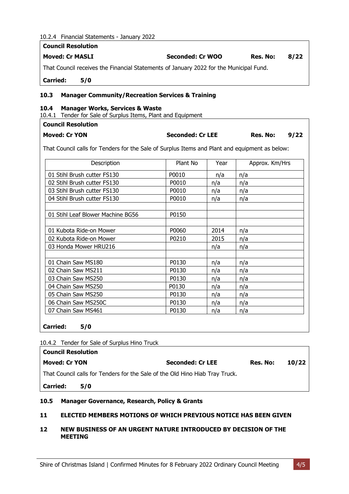#### 10.2.4 Financial Statements - January 2022 **Council Resolution**

| LUUIILII KESUIULIUII   |                                                                                        |                  |          |      |
|------------------------|----------------------------------------------------------------------------------------|------------------|----------|------|
| <b>Moved: Cr MASLI</b> |                                                                                        | Seconded: Cr WOO | Res. No: | 8/22 |
|                        | That Council receives the Financial Statements of January 2022 for the Municipal Fund. |                  |          |      |
| <b>Carried:</b>        | 5/0                                                                                    |                  |          |      |

#### <span id="page-6-0"></span>**10.3 Manager Community/Recreation Services & Training**

#### <span id="page-6-1"></span>**10.4 Manager Works, Services & Waste**

10.4.1 Tender for Sale of Surplus Items, Plant and Equipment

#### **Council Resolution**

| <b>Moved: Cr YON</b> | <b>Seconded: Cr LEE</b> | Res. No: | 9/22 |
|----------------------|-------------------------|----------|------|
|----------------------|-------------------------|----------|------|

That Council calls for Tenders for the Sale of Surplus Items and Plant and equipment as below:

| Description                       | Plant No | Year | Approx. Km/Hrs |
|-----------------------------------|----------|------|----------------|
| 01 Stihl Brush cutter FS130       | P0010    | n/a  | n/a            |
| 02 Stihl Brush cutter FS130       | P0010    | n/a  | n/a            |
| 03 Stihl Brush cutter FS130       | P0010    | n/a  | n/a            |
| 04 Stihl Brush cutter FS130       | P0010    | n/a  | n/a            |
|                                   |          |      |                |
| 01 Stihl Leaf Blower Machine BG56 | P0150    |      |                |
|                                   |          |      |                |
| 01 Kubota Ride-on Mower           | P0060    | 2014 | n/a            |
| 02 Kubota Ride-on Mower           | P0210    | 2015 | n/a            |
| 03 Honda Mower HRU216             |          | n/a  | n/a            |
|                                   |          |      |                |
| 01 Chain Saw MS180                | P0130    | n/a  | n/a            |
| 02 Chain Saw MS211                | P0130    | n/a  | n/a            |
| 03 Chain Saw MS250                | P0130    | n/a  | n/a            |
| 04 Chain Saw MS250                | P0130    | n/a  | n/a            |
| 05 Chain Saw MS250                | P0130    | n/a  | n/a            |
| 06 Chain Saw MS250C               | P0130    | n/a  | n/a            |
| 07 Chain Saw MS461                | P0130    | n/a  | n/a            |

**Carried: 5/0**

10.4.2 Tender for Sale of Surplus Hino Truck

| <b>Council Resolution</b>                                                    |     |                         |          |       |
|------------------------------------------------------------------------------|-----|-------------------------|----------|-------|
| Moved: Cr YON                                                                |     | <b>Seconded: Cr LEE</b> | Res. No: | 10/22 |
| That Council calls for Tenders for the Sale of the Old Hino Hiab Tray Truck. |     |                         |          |       |
| <b>Carried:</b>                                                              | 5/0 |                         |          |       |
|                                                                              |     |                         |          |       |

#### <span id="page-6-2"></span>**10.5 Manager Governance, Research, Policy & Grants**

#### <span id="page-6-3"></span>**11 ELECTED MEMBERS MOTIONS OF WHICH PREVIOUS NOTICE HAS BEEN GIVEN**

#### <span id="page-6-4"></span>**12 NEW BUSINESS OF AN URGENT NATURE INTRODUCED BY DECISION OF THE MEETING**